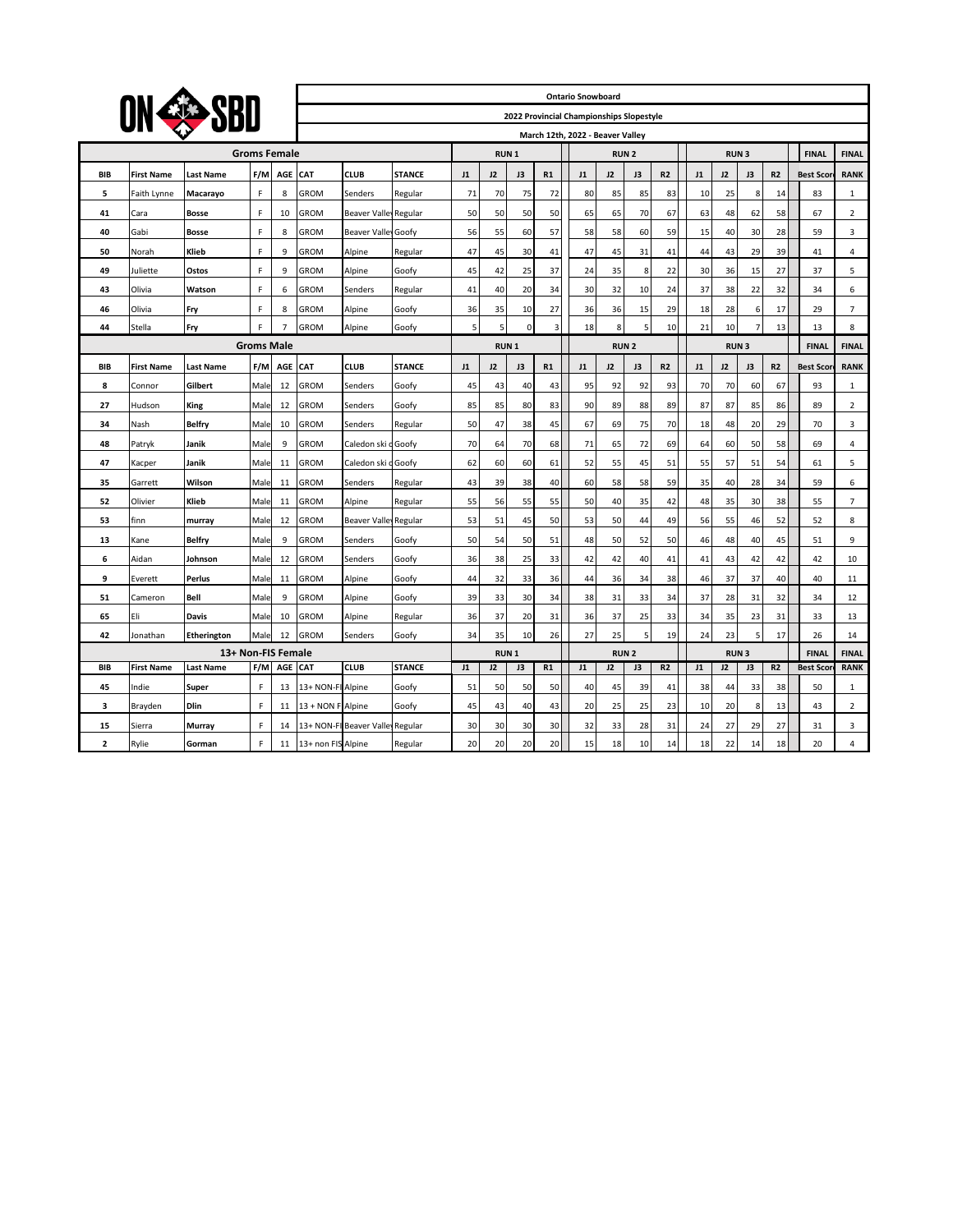| ON COSBO                      |                   |                  |                  |                |                    |                            |               |             |             |                                          |          | <b>Ontario Snowboard</b> |             |             |                |             |    |                |                |                             |                |
|-------------------------------|-------------------|------------------|------------------|----------------|--------------------|----------------------------|---------------|-------------|-------------|------------------------------------------|----------|--------------------------|-------------|-------------|----------------|-------------|----|----------------|----------------|-----------------------------|----------------|
|                               |                   |                  |                  |                |                    |                            |               |             |             | 2022 Provincial Championships Slopestyle |          |                          |             |             |                |             |    |                |                |                             |                |
|                               |                   |                  |                  |                |                    |                            |               |             |             | March 12th, 2022 - Beaver Valley         |          |                          |             |             |                |             |    |                |                |                             |                |
| <b>Groms Female</b>           |                   |                  |                  |                |                    |                            |               |             | <b>RUN1</b> |                                          |          |                          |             | <b>RUN2</b> | <b>RUN3</b>    |             |    |                | <b>FINAL</b>   | <b>FINAL</b>                |                |
| <b>BIB</b>                    | <b>First Name</b> | <b>Last Name</b> | F/M              | AGE            | <b>CAT</b>         | <b>CLUB</b>                | <b>STANCE</b> | J1          | 12          | J3                                       | R1       | J1                       | J2          | J3          | R <sub>2</sub> | J1          | 12 | J3             | R <sub>2</sub> | <b>Best Scor</b>            | <b>RANK</b>    |
| 5                             | Faith Lynne       | Macarayo         | F                | 8              | GROM               | Senders                    | Regular       | 71          | 70          | 75                                       | 72       | 80                       | 85          | 85          | 83             | 10          | 25 | 8              | 14             | 83                          | $\mathbf{1}$   |
| 41                            | Cara              | <b>Bosse</b>     | F                | 10             | GROM               | Beaver Valley Regular      |               | 50          | 50          | 50                                       | 50       | 65                       | 65          | 70          | 67             | 63          | 48 | 62             | 58             | 67                          | $\overline{2}$ |
| 40                            | Gabi              | <b>Bosse</b>     | F                | 8              | <b>GROM</b>        | <b>Beaver Valley Goofy</b> |               | 56          | 55          | 60                                       | 57       | 58                       | 58          | 60          | 59             | 15          | 40 | 30             | 28             | 59                          | 3              |
| 50                            | Norah             | Klieb            | F                | 9              | GROM               | Alpine                     | Regular       | 47          | 45          | 30                                       | 41       | 47                       | 45          | 31          | 41             | 44          | 43 | 29             | 39             | 41                          | $\overline{4}$ |
| 49                            | Juliette          | Ostos            | F                | 9              | GROM               | Alpine                     | Goofy         | 45          | 42          | 25                                       | 37       | 24                       | 35          | 8           | 22             | 30          | 36 | 15             | 27             | 37                          | 5              |
| 43                            | Olivia            | Watson           | F                | 6              | GROM               | Senders                    | Regular       | 41          | 40          | 20                                       | 34       | 30                       | 32          | 10          | 24             | 37          | 38 | 22             | 32             | 34                          | 6              |
| 46                            | Olivia            | Fry              | F                | 8              | GROM               | Alpine                     | Goofy         | 36          | 35          | 10                                       | 27       | 36                       | 36          | 15          | 29             | 18          | 28 | 6              | 17             | 29                          | $\overline{7}$ |
| 44                            | Stella            | Fry              | F                | $\overline{7}$ | GROM               | Alpine                     | Goofy         | 5           | 5           | $\mathbf 0$                              | 3        | 18                       | 8           | 5           | 10             | 21          | 10 | 7              | 13             | 13                          | 8              |
| <b>Groms Male</b>             |                   |                  |                  |                |                    |                            |               |             | <b>RUN1</b> |                                          |          | <b>RUN2</b>              |             |             |                | <b>RUN3</b> |    |                |                | <b>FINAL</b>                | <b>FINAL</b>   |
| <b>BIB</b>                    | <b>First Name</b> | <b>Last Name</b> | F/M              | AGE            | CAT                | <b>CLUB</b>                | <b>STANCE</b> | J1          | 12          | J3                                       | R1       | J1                       | 12          | J3          | <b>R2</b>      | J1          | 12 | J3             | R <sub>2</sub> | <b>Best Scor</b>            | <b>RANK</b>    |
| 8                             | Connor            | Gilbert          | Male             | 12             | GROM               | Senders                    | Goofy         | 45          | 43          | 40                                       | 43       | 95                       | 92          | 92          | 93             | 70          | 70 | 60             | 67             | 93                          | $\mathbf{1}$   |
| 27                            | Hudson            | King             | Male             | 12             | <b>GROM</b>        | Senders                    | Goofy         | 85          | 85          | 80                                       | 83       | 90                       | 89          | 88          | 89             | 87          | 87 | 85             | 86             | 89                          | $\overline{2}$ |
| 34                            | Nash              | Belfry           | Male             | 10             | GROM               | Senders                    | Regular       | 50          | 47          | 38                                       | 45       | 67                       | 69          | 75          | 70             | 18          | 48 | 20             | 29             | 70                          | 3              |
| 48                            | Patryk            | Janik            | Male             | 9              | GROM               | Caledon ski                | dGoofy        | 70          | 64          | 70                                       | 68       | 71                       | 65          | 72          | 69             | 64          | 60 | 50             | 58             | 69                          | 4              |
| 47                            | Kacper            | Janik            | Male             | 11             | GROM               | Caledon ski                | dGoofy        | 62          | 60          | 60                                       | 61       | 52                       | 55          | 45          | 51             | 55          | 57 | 51             | 54             | 61                          | 5              |
| 35                            | Garrett           | Wilson           | Male             | 11             | GROM               | Senders                    | Regular       | 43          | 39          | 38                                       | 40       | 60                       | 58          | 58          | 59             | 35          | 40 | 28             | 34             | 59                          | 6              |
| 52                            | Olivier           | Klieb            | Male             | 11             | GROM               | Alpine                     | Regular       | 55          | 56          | 55                                       | 55       | 50                       | 40          | 35          | 42             | 48          | 35 | 30             | 38             | 55                          | $\overline{7}$ |
| 53                            | finn              | murray           | Male             | 12             | GROM               | Beaver Valley Regular      |               | 53          | 51          | 45                                       | 50       | 53                       | 50          | 44          | 49             | 56          | 55 | 46             | 52             | 52                          | 8              |
| 13                            | Kane              | Belfry           | Male             | 9              | <b>GROM</b>        | Senders                    | Goofy         | 50          | 54          | 50                                       | 51       | 48                       | 50          | 52          | 50             | 46          | 48 | 40             | 45             | 51                          | 9              |
| 6                             | Aidan             | Johnson          | Male             | 12             | <b>GROM</b>        | Senders                    | Goofy         | 36          | 38          | 25                                       | 33       | 42                       | 42          | 40          | 41             | 41          | 43 | 42             | 42             | 42                          | 10             |
| 9                             | Everett           | Perlus           | Male             | 11             | GROM               | Alpine                     | Goofy         | 44          | 32          | 33                                       | 36       | 44                       | 36          | 34          | 38             | 46          | 37 | 37             | 40             | 40                          | 11             |
| 51                            | Cameron           | Bell             | Male             | 9              | GROM               | Alpine                     | Goofy         | 39          | 33          | 30                                       | 34       | 38                       | 31          | 33          | 34             | 37          | 28 | 31             | 32             | 34                          | 12             |
| 65                            | Eli               | Davis            | Male             | 10             | GROM               | Alpine                     | Regular       | 36          | 37          | 20                                       | 31       | 36                       | 37          | 25          | 33             | 34          | 35 | 23             | 31             | 33                          | 13             |
| 42                            | Jonathan          | Etherington      | Male             | 12             | <b>GROM</b>        | Senders                    | Goofy         | 34          | 35          | 10                                       | 26       | 27                       | 25          | 5           | 19             | 24          | 23 | 5              | 17             | 26                          | 14             |
| 13+ Non-FIS Female<br>AGE CAT |                   |                  |                  |                |                    |                            |               | <b>RUN1</b> |             |                                          |          |                          | <b>RUN2</b> |             |                | <b>RUN3</b> |    | R <sub>2</sub> | <b>FINAL</b>   | <b>FINAL</b><br><b>RANK</b> |                |
| <b>BIB</b>                    | <b>First Name</b> | <b>Last Name</b> | F/M              |                |                    | <b>CLUB</b>                | <b>STANCE</b> | J1          | J2          | J3                                       | R1       | J1                       | J2          | J3          | R <sub>2</sub> | J1          | J2 | J3             |                | <b>Best Scor</b>            |                |
| 45                            | Indie             | Super            | F                | 13             | 13+ NON-FI         | Alpine                     | Goofy         | 51          | 50          | 50                                       | 50       | 40                       | 45          | 39          | 41             | 38          | 44 | 33             | 38             | 50                          | 1              |
| з                             | Brayden           | Dlin             | F                | 11             | 13 + NON F         | Alpine                     | Goofy         | 45          | 43          | 40                                       | 43       | 20                       | 25          | 25          | 23             | 10          | 20 | 8              | 13             | 43                          | 2              |
| 15                            | Sierra            | Murray           | F<br>$\mathsf F$ | 14             | 13+ NON-F          | <b>Beaver Valle</b>        | Regular       | 30<br>20    | 30          | 30                                       | 30<br>20 | 32                       | 33          | 28          | 31             | 24          | 27 | 29             | 27             | 31<br>20                    | 3              |
| $\overline{\mathbf{2}}$       | Rylie             | Gorman           |                  | 11             | 13+ non FIS Alpine |                            | Regular       |             | 20          | 20                                       |          | 15                       | 18          | 10          | 14             | 18          | 22 | 14             | 18             |                             | 4              |